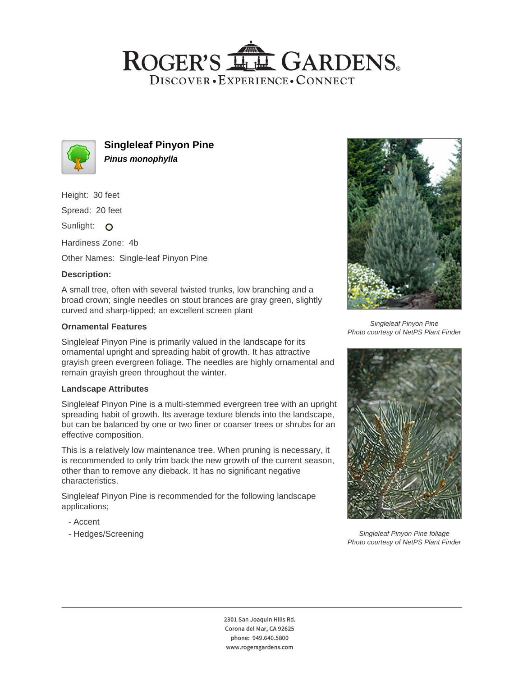# ROGER'S LL GARDENS. DISCOVER · EXPERIENCE · CONNECT



**Singleleaf Pinyon Pine Pinus monophylla**

Height: 30 feet

Spread: 20 feet

Sunlight: O

Hardiness Zone: 4b

Other Names: Single-leaf Pinyon Pine

## **Description:**

A small tree, often with several twisted trunks, low branching and a broad crown; single needles on stout brances are gray green, slightly curved and sharp-tipped; an excellent screen plant

#### **Ornamental Features**

Singleleaf Pinyon Pine is primarily valued in the landscape for its ornamental upright and spreading habit of growth. It has attractive grayish green evergreen foliage. The needles are highly ornamental and remain grayish green throughout the winter.

#### **Landscape Attributes**

Singleleaf Pinyon Pine is a multi-stemmed evergreen tree with an upright spreading habit of growth. Its average texture blends into the landscape, but can be balanced by one or two finer or coarser trees or shrubs for an effective composition.

This is a relatively low maintenance tree. When pruning is necessary, it is recommended to only trim back the new growth of the current season, other than to remove any dieback. It has no significant negative characteristics.

Singleleaf Pinyon Pine is recommended for the following landscape applications;

- Accent
- Hedges/Screening



Singleleaf Pinyon Pine Photo courtesy of NetPS Plant Finder



Singleleaf Pinyon Pine foliage Photo courtesy of NetPS Plant Finder

2301 San Joaquin Hills Rd. Corona del Mar, CA 92625 phone: 949.640.5800 www.rogersgardens.com